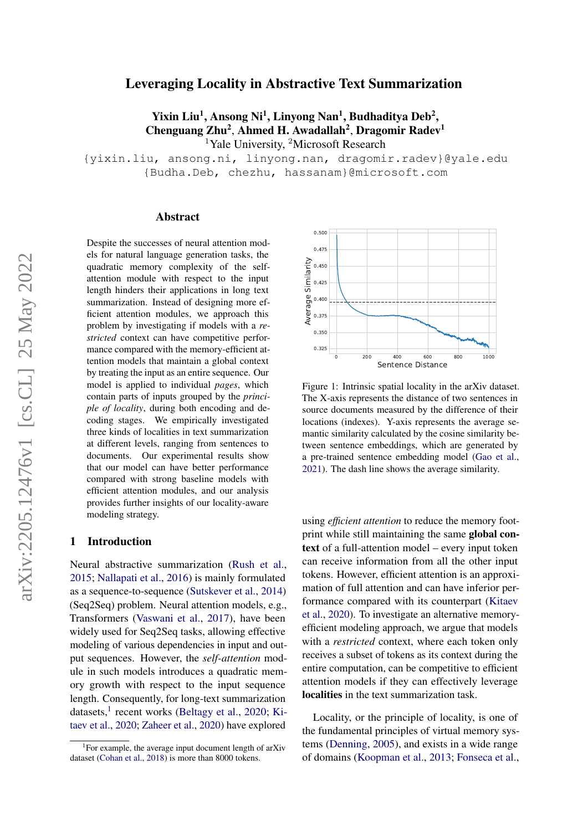# Leveraging Locality in Abstractive Text Summarization

Yixin Liu<sup>1</sup>, Ansong Ni<sup>1</sup>, Linyong Nan<sup>1</sup>, Budhaditya Deb<sup>2</sup>, Chenguang Zhu<sup>2</sup>, Ahmed H. Awadallah<sup>2</sup>, Dragomir Radev<sup>1</sup> <sup>1</sup>Yale University, <sup>2</sup>Microsoft Research

{yixin.liu, ansong.ni, linyong.nan, dragomir.radev}@yale.edu {Budha.Deb, chezhu, hassanam}@microsoft.com

### Abstract

Despite the successes of neural attention models for natural language generation tasks, the quadratic memory complexity of the selfattention module with respect to the input length hinders their applications in long text summarization. Instead of designing more efficient attention modules, we approach this problem by investigating if models with a *restricted* context can have competitive performance compared with the memory-efficient attention models that maintain a global context by treating the input as an entire sequence. Our model is applied to individual *pages*, which contain parts of inputs grouped by the *principle of locality*, during both encoding and decoding stages. We empirically investigated three kinds of localities in text summarization at different levels, ranging from sentences to documents. Our experimental results show that our model can have better performance compared with strong baseline models with efficient attention modules, and our analysis provides further insights of our locality-aware modeling strategy.

# 1 Introduction

Neural abstractive summarization [\(Rush et al.,](#page-10-0) [2015;](#page-10-0) [Nallapati et al.,](#page-10-1) [2016\)](#page-10-1) is mainly formulated as a sequence-to-sequence [\(Sutskever et al.,](#page-10-2) [2014\)](#page-10-2) (Seq2Seq) problem. Neural attention models, e.g., Transformers [\(Vaswani et al.,](#page-10-3) [2017\)](#page-10-3), have been widely used for Seq2Seq tasks, allowing effective modeling of various dependencies in input and output sequences. However, the *self-attention* module in such models introduces a quadratic memory growth with respect to the input sequence length. Consequently, for long-text summarization datasets,<sup>[1](#page-0-0)</sup> recent works [\(Beltagy et al.,](#page-8-0) [2020;](#page-8-0) [Ki](#page-9-0)[taev et al.,](#page-9-0) [2020;](#page-9-0) [Zaheer et al.,](#page-11-0) [2020\)](#page-11-0) have explored

<span id="page-0-1"></span>

Figure 1: Intrinsic spatial locality in the arXiv dataset. The X-axis represents the distance of two sentences in source documents measured by the difference of their locations (indexes). Y-axis represents the average semantic similarity calculated by the cosine similarity between sentence embeddings, which are generated by a pre-trained sentence embedding model [\(Gao et al.,](#page-9-1) [2021\)](#page-9-1). The dash line shows the average similarity.

using *efficient attention* to reduce the memory footprint while still maintaining the same global context of a full-attention model – every input token can receive information from all the other input tokens. However, efficient attention is an approximation of full attention and can have inferior performance compared with its counterpart [\(Kitaev](#page-9-0) [et al.,](#page-9-0) [2020\)](#page-9-0). To investigate an alternative memoryefficient modeling approach, we argue that models with a *restricted* context, where each token only receives a subset of tokens as its context during the entire computation, can be competitive to efficient attention models if they can effectively leverage localities in the text summarization task.

Locality, or the principle of locality, is one of the fundamental principles of virtual memory systems [\(Denning,](#page-8-2) [2005\)](#page-8-2), and exists in a wide range of domains [\(Koopman et al.,](#page-9-2) [2013;](#page-9-2) [Fonseca et al.,](#page-9-3)

<span id="page-0-0"></span><sup>&</sup>lt;sup>1</sup>For example, the average input document length of arXiv dataset [\(Cohan et al.,](#page-8-1) [2018\)](#page-8-1) is more than 8000 tokens.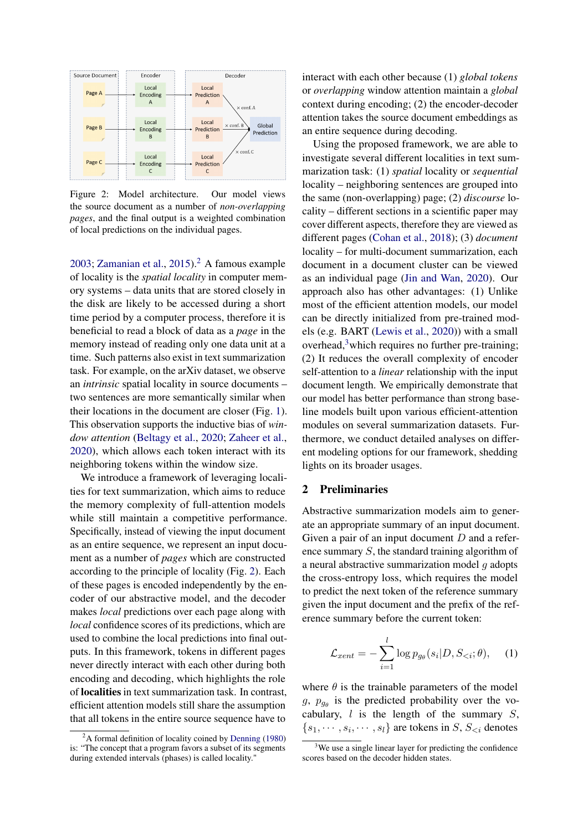<span id="page-1-1"></span>

Figure 2: Model architecture. Our model views the source document as a number of *non-overlapping pages*, and the final output is a weighted combination of local predictions on the individual pages.

[2003;](#page-9-3) [Zamanian et al.,](#page-11-1)  $2015$  $2015$ .<sup>2</sup> A famous example of locality is the *spatial locality* in computer memory systems – data units that are stored closely in the disk are likely to be accessed during a short time period by a computer process, therefore it is beneficial to read a block of data as a *page* in the memory instead of reading only one data unit at a time. Such patterns also exist in text summarization task. For example, on the arXiv dataset, we observe an *intrinsic* spatial locality in source documents – two sentences are more semantically similar when their locations in the document are closer (Fig. [1\)](#page-0-1). This observation supports the inductive bias of *window attention* [\(Beltagy et al.,](#page-8-0) [2020;](#page-8-0) [Zaheer et al.,](#page-11-0) [2020\)](#page-11-0), which allows each token interact with its neighboring tokens within the window size.

We introduce a framework of leveraging localities for text summarization, which aims to reduce the memory complexity of full-attention models while still maintain a competitive performance. Specifically, instead of viewing the input document as an entire sequence, we represent an input document as a number of *pages* which are constructed according to the principle of locality (Fig. [2\)](#page-1-1). Each of these pages is encoded independently by the encoder of our abstractive model, and the decoder makes *local* predictions over each page along with *local* confidence scores of its predictions, which are used to combine the local predictions into final outputs. In this framework, tokens in different pages never directly interact with each other during both encoding and decoding, which highlights the role of localities in text summarization task. In contrast, efficient attention models still share the assumption that all tokens in the entire source sequence have to

interact with each other because (1) *global tokens* or *overlapping* window attention maintain a *global* context during encoding; (2) the encoder-decoder attention takes the source document embeddings as an entire sequence during decoding.

Using the proposed framework, we are able to investigate several different localities in text summarization task: (1) *spatial* locality or *sequential* locality – neighboring sentences are grouped into the same (non-overlapping) page; (2) *discourse* locality – different sections in a scientific paper may cover different aspects, therefore they are viewed as different pages [\(Cohan et al.,](#page-8-1) [2018\)](#page-8-1); (3) *document* locality – for multi-document summarization, each document in a document cluster can be viewed as an individual page [\(Jin and Wan,](#page-9-4) [2020\)](#page-9-4). Our approach also has other advantages: (1) Unlike most of the efficient attention models, our model can be directly initialized from pre-trained models (e.g. BART [\(Lewis et al.,](#page-9-5) [2020\)](#page-9-5)) with a small overhead, $3$  which requires no further pre-training; (2) It reduces the overall complexity of encoder self-attention to a *linear* relationship with the input document length. We empirically demonstrate that our model has better performance than strong baseline models built upon various efficient-attention modules on several summarization datasets. Furthermore, we conduct detailed analyses on different modeling options for our framework, shedding lights on its broader usages.

### 2 Preliminaries

Abstractive summarization models aim to generate an appropriate summary of an input document. Given a pair of an input document  $D$  and a reference summary S, the standard training algorithm of a neural abstractive summarization model g adopts the cross-entropy loss, which requires the model to predict the next token of the reference summary given the input document and the prefix of the reference summary before the current token:

<span id="page-1-3"></span>
$$
\mathcal{L}_{xent} = -\sum_{i=1}^{l} \log p_{g_{\theta}}(s_i | D, S_{< i}; \theta), \quad (1)
$$

where  $\theta$  is the trainable parameters of the model  $g, p_{g_{\theta}}$  is the predicted probability over the vocabulary,  $l$  is the length of the summary  $S$ ,  $\{s_1, \dots, s_i, \dots, s_l\}$  are tokens in S,  $S_{\leq i}$  denotes

<span id="page-1-0"></span> $2A$  formal definition of locality coined by [Denning](#page-8-3) [\(1980\)](#page-8-3) is: "The concept that a program favors a subset of its segments during extended intervals (phases) is called locality."

<span id="page-1-2"></span> $3$ We use a single linear layer for predicting the confidence scores based on the decoder hidden states.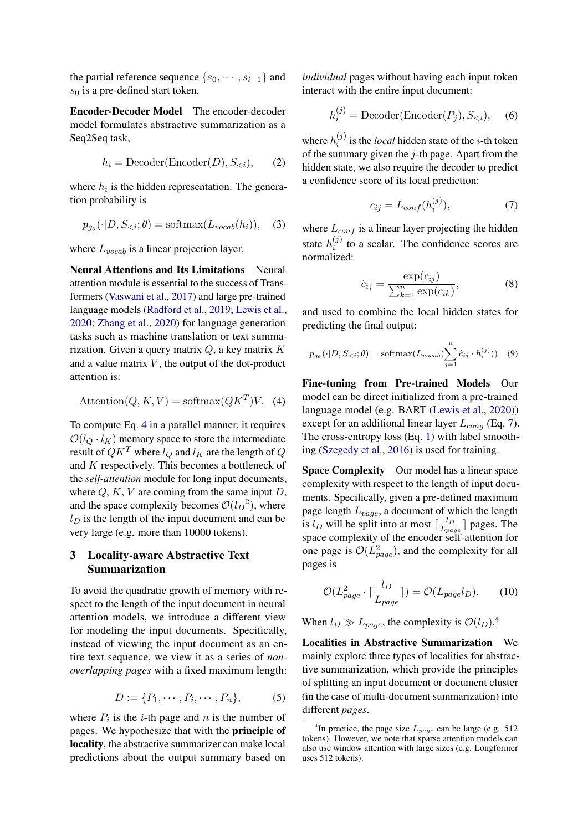the partial reference sequence  $\{s_0, \dots, s_{i-1}\}\$  and  $s_0$  is a pre-defined start token.

Encoder-Decoder Model The encoder-decoder model formulates abstractive summarization as a Seq2Seq task,

$$
h_i = \text{Decoder}(\text{Encoder}(D), S_{< i}), \qquad (2)
$$

where  $h_i$  is the hidden representation. The generation probability is

$$
p_{g_{\theta}}(\cdot|D, S_{< i}; \theta) = \text{softmax}(L_{vocab}(h_i)), \quad (3)
$$

where  $L_{vocab}$  is a linear projection layer.

Neural Attentions and Its Limitations Neural attention module is essential to the success of Transformers [\(Vaswani et al.,](#page-10-3) [2017\)](#page-10-3) and large pre-trained language models [\(Radford et al.,](#page-10-4) [2019;](#page-10-4) [Lewis et al.,](#page-9-5) [2020;](#page-9-5) [Zhang et al.,](#page-11-2) [2020\)](#page-11-2) for language generation tasks such as machine translation or text summarization. Given a query matrix  $Q$ , a key matrix  $K$ and a value matrix  $V$ , the output of the dot-product attention is:

<span id="page-2-0"></span>
$$
Attention(Q, K, V) = softmax(QKT)V.
$$
 (4)

To compute Eq. [4](#page-2-0) in a parallel manner, it requires  $\mathcal{O}(l_{Q} \cdot l_{K})$  memory space to store the intermediate result of  $QK^T$  where  $l_Q$  and  $l_K$  are the length of  $Q$ and K respectively. This becomes a bottleneck of the *self-attention* module for long input documents, where  $Q, K, V$  are coming from the same input  $D$ , and the space complexity becomes  $\mathcal{O}(l_D^2)$ , where  $l_D$  is the length of the input document and can be very large (e.g. more than 10000 tokens).

# 3 Locality-aware Abstractive Text Summarization

To avoid the quadratic growth of memory with respect to the length of the input document in neural attention models, we introduce a different view for modeling the input documents. Specifically, instead of viewing the input document as an entire text sequence, we view it as a series of *nonoverlapping pages* with a fixed maximum length:

$$
D := \{P_1, \cdots, P_i, \cdots, P_n\},\tag{5}
$$

where  $P_i$  is the *i*-th page and *n* is the number of pages. We hypothesize that with the principle of locality, the abstractive summarizer can make local predictions about the output summary based on

*individual* pages without having each input token interact with the entire input document:

<span id="page-2-4"></span>
$$
h_i^{(j)} = \text{Decoder}(\text{Encoder}(P_j), S_{< i}), \quad (6)
$$

where  $h_i^{(j)}$  $i_j^{(j)}$  is the *local* hidden state of the *i*-th token of the summary given the  $j$ -th page. Apart from the hidden state, we also require the decoder to predict a confidence score of its local prediction:

<span id="page-2-1"></span>
$$
c_{ij} = L_{conf}(h_i^{(j)}),\tag{7}
$$

where  $L_{conf}$  is a linear layer projecting the hidden state  $h_i^{(j)}$  $i_j^{(j)}$  to a scalar. The confidence scores are normalized:

<span id="page-2-3"></span>
$$
\hat{c}_{ij} = \frac{\exp(c_{ij})}{\sum_{k=1}^{n} \exp(c_{ik})},\tag{8}
$$

and used to combine the local hidden states for predicting the final output:

$$
p_{g_{\theta}}(\cdot|D, S_{\leq i}; \theta) = \text{softmax}(L_{vocab}(\sum_{j=1}^{n} \hat{c}_{ij} \cdot h_i^{(j)})). \quad (9)
$$

Fine-tuning from Pre-trained Models Our model can be direct initialized from a pre-trained language model (e.g. BART [\(Lewis et al.,](#page-9-5) [2020\)](#page-9-5)) except for an additional linear layer  $L_{conq}$  (Eq. [7\)](#page-2-1). The cross-entropy loss (Eq. [1\)](#page-1-3) with label smoothing [\(Szegedy et al.,](#page-10-5) [2016\)](#page-10-5) is used for training.

Space Complexity Our model has a linear space complexity with respect to the length of input documents. Specifically, given a pre-defined maximum page length  $L_{page}$ , a document of which the length is  $l_D$  will be split into at most  $\lceil \frac{l_D}{l_{\text{max}}} \rceil$  $\frac{l_D}{L_{page}}$ ] pages. The space complexity of the encoder self-attention for one page is  $\mathcal{O}(L_{page}^2)$ , and the complexity for all pages is

$$
\mathcal{O}(L_{page}^2 \cdot \lceil \frac{l_D}{L_{page}} \rceil) = \mathcal{O}(L_{page}l_D). \tag{10}
$$

When  $l_D \gg L_{page}$ , the complexity is  $\mathcal{O}(l_D)$ .<sup>[4](#page-2-2)</sup>

Localities in Abstractive Summarization We mainly explore three types of localities for abstractive summarization, which provide the principles of splitting an input document or document cluster (in the case of multi-document summarization) into different *pages*.

<span id="page-2-2"></span><sup>&</sup>lt;sup>4</sup>In practice, the page size  $L_{page}$  can be large (e.g. 512) tokens). However, we note that sparse attention models can also use window attention with large sizes (e.g. Longformer uses 512 tokens).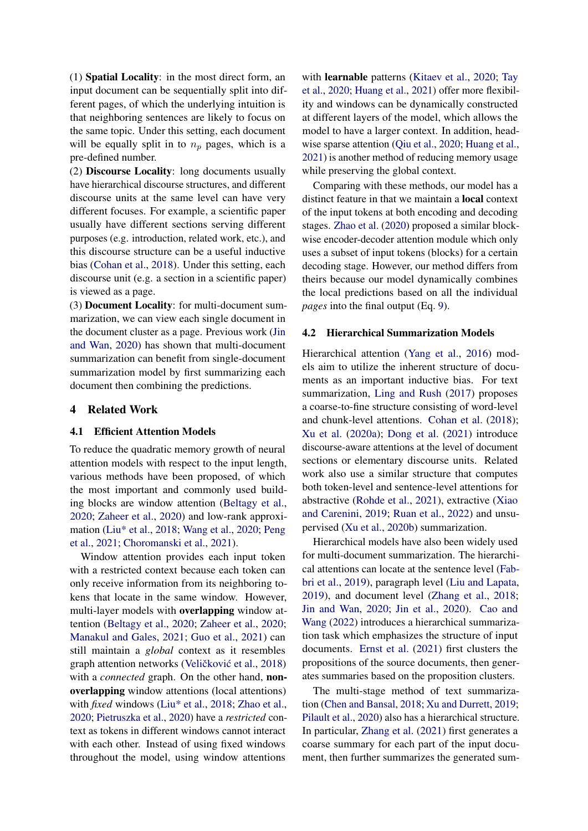(1) Spatial Locality: in the most direct form, an input document can be sequentially split into different pages, of which the underlying intuition is that neighboring sentences are likely to focus on the same topic. Under this setting, each document will be equally split in to  $n_p$  pages, which is a pre-defined number.

(2) Discourse Locality: long documents usually have hierarchical discourse structures, and different discourse units at the same level can have very different focuses. For example, a scientific paper usually have different sections serving different purposes (e.g. introduction, related work, etc.), and this discourse structure can be a useful inductive bias [\(Cohan et al.,](#page-8-1) [2018\)](#page-8-1). Under this setting, each discourse unit (e.g. a section in a scientific paper) is viewed as a page.

(3) Document Locality: for multi-document summarization, we can view each single document in the document cluster as a page. Previous work [\(Jin](#page-9-4) [and Wan,](#page-9-4) [2020\)](#page-9-4) has shown that multi-document summarization can benefit from single-document summarization model by first summarizing each document then combining the predictions.

### 4 Related Work

### 4.1 Efficient Attention Models

To reduce the quadratic memory growth of neural attention models with respect to the input length, various methods have been proposed, of which the most important and commonly used building blocks are window attention [\(Beltagy et al.,](#page-8-0) [2020;](#page-8-0) [Zaheer et al.,](#page-11-0) [2020\)](#page-11-0) and low-rank approximation [\(Liu\\* et al.,](#page-9-6) [2018;](#page-9-6) [Wang et al.,](#page-10-6) [2020;](#page-10-6) [Peng](#page-10-7) [et al.,](#page-10-7) [2021;](#page-10-7) [Choromanski et al.,](#page-8-4) [2021\)](#page-8-4).

Window attention provides each input token with a restricted context because each token can only receive information from its neighboring tokens that locate in the same window. However, multi-layer models with overlapping window attention [\(Beltagy et al.,](#page-8-0) [2020;](#page-8-0) [Zaheer et al.,](#page-11-0) [2020;](#page-11-0) [Manakul and Gales,](#page-10-8) [2021;](#page-10-8) [Guo et al.,](#page-9-7) [2021\)](#page-9-7) can still maintain a *global* context as it resembles graph attention networks (Veličković et al., [2018\)](#page-10-9) with a *connected* graph. On the other hand, nonoverlapping window attentions (local attentions) with *fixed* windows [\(Liu\\* et al.,](#page-9-6) [2018;](#page-9-6) [Zhao et al.,](#page-11-3) [2020;](#page-11-3) [Pietruszka et al.,](#page-10-10) [2020\)](#page-10-10) have a *restricted* context as tokens in different windows cannot interact with each other. Instead of using fixed windows throughout the model, using window attentions

with learnable patterns [\(Kitaev et al.,](#page-9-0) [2020;](#page-9-0) [Tay](#page-10-11) [et al.,](#page-10-11) [2020;](#page-10-11) [Huang et al.,](#page-9-8) [2021\)](#page-9-8) offer more flexibility and windows can be dynamically constructed at different layers of the model, which allows the model to have a larger context. In addition, headwise sparse attention [\(Qiu et al.,](#page-10-12) [2020;](#page-10-12) [Huang et al.,](#page-9-8) [2021\)](#page-9-8) is another method of reducing memory usage while preserving the global context.

Comparing with these methods, our model has a distinct feature in that we maintain a local context of the input tokens at both encoding and decoding stages. [Zhao et al.](#page-11-3) [\(2020\)](#page-11-3) proposed a similar blockwise encoder-decoder attention module which only uses a subset of input tokens (blocks) for a certain decoding stage. However, our method differs from theirs because our model dynamically combines the local predictions based on all the individual *pages* into the final output (Eq. [9\)](#page-2-3).

### 4.2 Hierarchical Summarization Models

Hierarchical attention [\(Yang et al.,](#page-11-4) [2016\)](#page-11-4) models aim to utilize the inherent structure of documents as an important inductive bias. For text summarization, [Ling and Rush](#page-9-9) [\(2017\)](#page-9-9) proposes a coarse-to-fine structure consisting of word-level and chunk-level attentions. [Cohan et al.](#page-8-1) [\(2018\)](#page-8-1); [Xu et al.](#page-11-5) [\(2020a\)](#page-11-5); [Dong et al.](#page-8-5) [\(2021\)](#page-8-5) introduce discourse-aware attentions at the level of document sections or elementary discourse units. Related work also use a similar structure that computes both token-level and sentence-level attentions for abstractive [\(Rohde et al.,](#page-10-13) [2021\)](#page-10-13), extractive [\(Xiao](#page-11-6) [and Carenini,](#page-11-6) [2019;](#page-11-6) [Ruan et al.,](#page-10-14) [2022\)](#page-10-14) and unsupervised [\(Xu et al.,](#page-11-7) [2020b\)](#page-11-7) summarization.

Hierarchical models have also been widely used for multi-document summarization. The hierarchical attentions can locate at the sentence level [\(Fab](#page-9-10)[bri et al.,](#page-9-10) [2019\)](#page-9-10), paragraph level [\(Liu and Lapata,](#page-10-15) [2019\)](#page-10-15), and document level [\(Zhang et al.,](#page-11-8) [2018;](#page-11-8) [Jin and Wan,](#page-9-4) [2020;](#page-9-4) [Jin et al.,](#page-9-11) [2020\)](#page-9-11). [Cao and](#page-8-6) [Wang](#page-8-6) [\(2022\)](#page-8-6) introduces a hierarchical summarization task which emphasizes the structure of input documents. [Ernst et al.](#page-9-12) [\(2021\)](#page-9-12) first clusters the propositions of the source documents, then generates summaries based on the proposition clusters.

The multi-stage method of text summarization [\(Chen and Bansal,](#page-8-7) [2018;](#page-8-7) [Xu and Durrett,](#page-11-9) [2019;](#page-11-9) [Pilault et al.,](#page-10-16) [2020\)](#page-10-16) also has a hierarchical structure. In particular, [Zhang et al.](#page-11-10) [\(2021\)](#page-11-10) first generates a coarse summary for each part of the input document, then further summarizes the generated sum-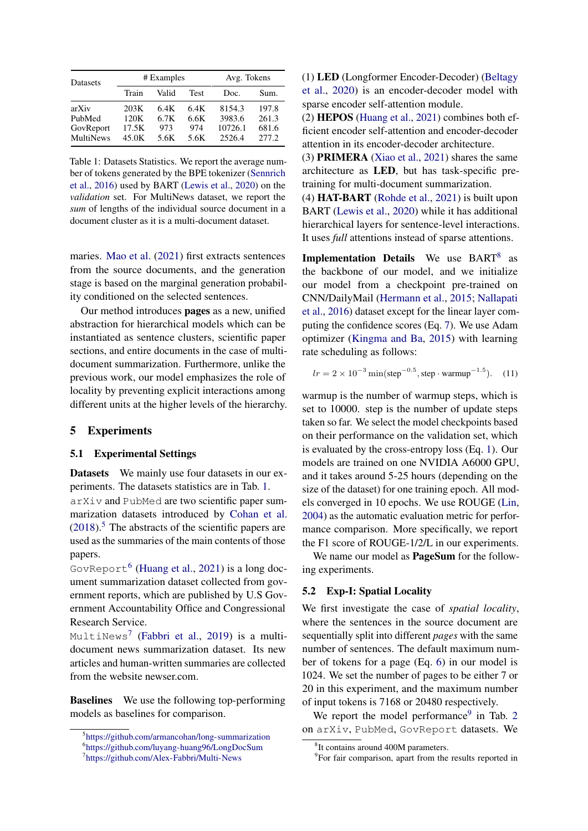<span id="page-4-0"></span>

| Datasets         |       | # Examples | Avg. Tokens |         |       |
|------------------|-------|------------|-------------|---------|-------|
|                  | Train | Valid      | <b>Test</b> | Doc.    | Sum.  |
| arXiv            | 203K  | 6.4K       | 6.4K        | 8154.3  | 197.8 |
| PubMed           | 120K  | 6.7K       | 6.6K        | 3983.6  | 261.3 |
| GovReport        | 17.5K | 973        | 974         | 10726.1 | 681.6 |
| <b>MultiNews</b> | 45.0K | 5.6K       | 5.6K        | 2526.4  | 277.2 |

Table 1: Datasets Statistics. We report the average number of tokens generated by the BPE tokenizer [\(Sennrich](#page-10-17) [et al.,](#page-10-17) [2016\)](#page-10-17) used by BART [\(Lewis et al.,](#page-9-5) [2020\)](#page-9-5) on the *validation* set. For MultiNews dataset, we report the *sum* of lengths of the individual source document in a document cluster as it is a multi-document dataset.

maries. [Mao et al.](#page-10-18) [\(2021\)](#page-10-18) first extracts sentences from the source documents, and the generation stage is based on the marginal generation probability conditioned on the selected sentences.

Our method introduces pages as a new, unified abstraction for hierarchical models which can be instantiated as sentence clusters, scientific paper sections, and entire documents in the case of multidocument summarization. Furthermore, unlike the previous work, our model emphasizes the role of locality by preventing explicit interactions among different units at the higher levels of the hierarchy.

# 5 Experiments

### <span id="page-4-7"></span>5.1 Experimental Settings

Datasets We mainly use four datasets in our experiments. The datasets statistics are in Tab. [1.](#page-4-0) arXiv and PubMed are two scientific paper summarization datasets introduced by [Cohan et al.](#page-8-1)  $(2018)$ <sup>[5](#page-4-1)</sup>. The abstracts of the scientific papers are used as the summaries of the main contents of those papers.

GovReport[6](#page-4-2) [\(Huang et al.,](#page-9-8) [2021\)](#page-9-8) is a long document summarization dataset collected from government reports, which are published by U.S Government Accountability Office and Congressional Research Service.

MultiNews[7](#page-4-3) [\(Fabbri et al.,](#page-9-10) [2019\)](#page-9-10) is a multidocument news summarization dataset. Its new articles and human-written summaries are collected from the website newser.com.

Baselines We use the following top-performing models as baselines for comparison.

(1) LED (Longformer Encoder-Decoder) [\(Beltagy](#page-8-0) [et al.,](#page-8-0) [2020\)](#page-8-0) is an encoder-decoder model with sparse encoder self-attention module.

(2) HEPOS [\(Huang et al.,](#page-9-8) [2021\)](#page-9-8) combines both efficient encoder self-attention and encoder-decoder attention in its encoder-decoder architecture.

(3) PRIMERA [\(Xiao et al.,](#page-11-11) [2021\)](#page-11-11) shares the same architecture as LED, but has task-specific pretraining for multi-document summarization.

(4) HAT-BART [\(Rohde et al.,](#page-10-13) [2021\)](#page-10-13) is built upon BART [\(Lewis et al.,](#page-9-5) [2020\)](#page-9-5) while it has additional hierarchical layers for sentence-level interactions. It uses *full* attentions instead of sparse attentions.

Implementation Details We use BART<sup>[8](#page-4-4)</sup> as the backbone of our model, and we initialize our model from a checkpoint pre-trained on CNN/DailyMail [\(Hermann et al.,](#page-9-13) [2015;](#page-9-13) [Nallapati](#page-10-1) [et al.,](#page-10-1) [2016\)](#page-10-1) dataset except for the linear layer computing the confidence scores (Eq. [7\)](#page-2-1). We use Adam optimizer [\(Kingma and Ba,](#page-9-14) [2015\)](#page-9-14) with learning rate scheduling as follows:

$$
lr = 2 \times 10^{-3} \min(\text{step}^{-0.5}, \text{step} \cdot \text{warmup}^{-1.5}).
$$
 (11)

warmup is the number of warmup steps, which is set to 10000. step is the number of update steps taken so far. We select the model checkpoints based on their performance on the validation set, which is evaluated by the cross-entropy loss (Eq. [1\)](#page-1-3). Our models are trained on one NVIDIA A6000 GPU, and it takes around 5-25 hours (depending on the size of the dataset) for one training epoch. All models converged in 10 epochs. We use ROUGE [\(Lin,](#page-9-15) [2004\)](#page-9-15) as the automatic evaluation metric for performance comparison. More specifically, we report the F1 score of ROUGE-1/2/L in our experiments.

We name our model as **PageSum** for the following experiments.

# <span id="page-4-6"></span>5.2 Exp-I: Spatial Locality

We first investigate the case of *spatial locality*, where the sentences in the source document are sequentially split into different *pages* with the same number of sentences. The default maximum number of tokens for a page (Eq. [6\)](#page-2-4) in our model is 1024. We set the number of pages to be either 7 or 20 in this experiment, and the maximum number of input tokens is 7168 or 20480 respectively.

We report the model performance<sup>[9](#page-4-5)</sup> in Tab. [2](#page-5-0) on arXiv, PubMed, GovReport datasets. We

<span id="page-4-1"></span><sup>5</sup> <https://github.com/armancohan/long-summarization>

<span id="page-4-2"></span><sup>6</sup> <https://github.com/luyang-huang96/LongDocSum>

<span id="page-4-3"></span><sup>7</sup> <https://github.com/Alex-Fabbri/Multi-News>

<span id="page-4-4"></span><sup>8</sup> It contains around 400M parameters.

<span id="page-4-5"></span><sup>&</sup>lt;sup>9</sup>For fair comparison, apart from the results reported in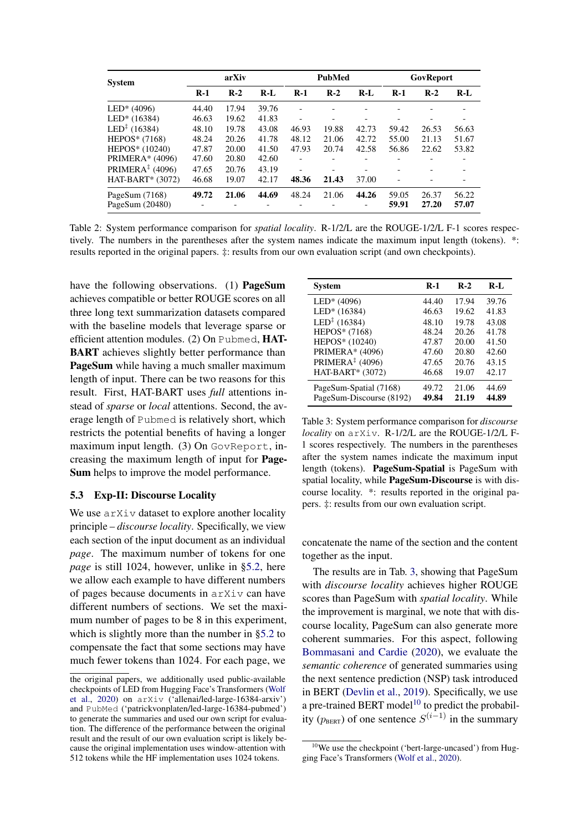<span id="page-5-0"></span>

| <b>System</b>            | arXiv |       | <b>PubMed</b> |       | GovReport                |       |       |       |       |
|--------------------------|-------|-------|---------------|-------|--------------------------|-------|-------|-------|-------|
|                          | $R-1$ | $R-2$ | $R-I$         | $R-1$ | $R-2$                    | $R-I$ | $R-1$ | $R-2$ | $R-I$ |
| $LED* (4096)$            | 44.40 | 17.94 | 39.76         |       |                          |       |       |       |       |
| $LED* (16384)$           | 46.63 | 19.62 | 41.83         |       | $\qquad \qquad$          |       |       |       |       |
| $LED^{\ddagger}$ (16384) | 48.10 | 19.78 | 43.08         | 46.93 | 19.88                    | 42.73 | 59.42 | 26.53 | 56.63 |
| $HEPOS*(7168)$           | 48.24 | 20.26 | 41.78         | 48.12 | 21.06                    | 42.72 | 55.00 | 21.13 | 51.67 |
| HEPOS* (10240)           | 47.87 | 20.00 | 41.50         | 47.93 | 20.74                    | 42.58 | 56.86 | 22.62 | 53.82 |
| <b>PRIMERA*</b> (4096)   | 47.60 | 20.80 | 42.60         | ۰     |                          |       |       |       |       |
| PRIMERA $‡$ (4096)       | 47.65 | 20.76 | 43.19         |       | $\overline{\phantom{0}}$ |       |       |       |       |
| $HAT-BART* (3072)$       | 46.68 | 19.07 | 42.17         | 48.36 | 21.43                    | 37.00 |       |       |       |
| PageSum $(7168)$         | 49.72 | 21.06 | 44.69         | 48.24 | 21.06                    | 44.26 | 59.05 | 26.37 | 56.22 |
| PageSum $(20480)$        |       |       |               |       | -                        | -     | 59.91 | 27.20 | 57.07 |

Table 2: System performance comparison for *spatial locality*. R-1/2/L are the ROUGE-1/2/L F-1 scores respectively. The numbers in the parentheses after the system names indicate the maximum input length (tokens). \*: results reported in the original papers. ‡: results from our own evaluation script (and own checkpoints).

have the following observations. (1) **PageSum** achieves compatible or better ROUGE scores on all three long text summarization datasets compared with the baseline models that leverage sparse or efficient attention modules. (2) On Pubmed, HAT-BART achieves slightly better performance than PageSum while having a much smaller maximum length of input. There can be two reasons for this result. First, HAT-BART uses *full* attentions instead of *sparse* or *local* attentions. Second, the average length of Pubmed is relatively short, which restricts the potential benefits of having a longer maximum input length. (3) On GovReport, increasing the maximum length of input for Page-Sum helps to improve the model performance.

### <span id="page-5-3"></span>5.3 Exp-II: Discourse Locality

We use  $arXiv$  dataset to explore another locality principle – *discourse locality*. Specifically, we view each section of the input document as an individual *page*. The maximum number of tokens for one *page* is still 1024, however, unlike in [§5.2,](#page-4-6) here we allow each example to have different numbers of pages because documents in arXiv can have different numbers of sections. We set the maximum number of pages to be 8 in this experiment, which is slightly more than the number in [§5.2](#page-4-6) to compensate the fact that some sections may have much fewer tokens than 1024. For each page, we

<span id="page-5-1"></span>

| Svstem                   | $R-1$ | $R-2$ | $R-I$ |
|--------------------------|-------|-------|-------|
| $LED* (4096)$            | 44.40 | 17.94 | 39.76 |
| LED* (16384)             | 46.63 | 19.62 | 41.83 |
| $LED^{\ddagger}$ (16384) | 48.10 | 19.78 | 43.08 |
| HEPOS* (7168)            | 48.24 | 20.26 | 41.78 |
| HEPOS* (10240)           | 47.87 | 20.00 | 41.50 |
| PRIMERA* (4096)          | 47.60 | 20.80 | 42.60 |
| PRIMERA $‡$ (4096)       | 47.65 | 20.76 | 43.15 |
| HAT-BART* (3072)         | 46.68 | 19.07 | 42.17 |
| PageSum-Spatial (7168)   | 49.72 | 21.06 | 44.69 |
| PageSum-Discourse (8192) | 49.84 | 21.19 | 44.89 |

Table 3: System performance comparison for *discourse locality* on arXiv. R-1/2/L are the ROUGE-1/2/L F-1 scores respectively. The numbers in the parentheses after the system names indicate the maximum input length (tokens). PageSum-Spatial is PageSum with spatial locality, while PageSum-Discourse is with discourse locality. \*: results reported in the original papers. ‡: results from our own evaluation script.

concatenate the name of the section and the content together as the input.

The results are in Tab. [3,](#page-5-1) showing that PageSum with *discourse locality* achieves higher ROUGE scores than PageSum with *spatial locality*. While the improvement is marginal, we note that with discourse locality, PageSum can also generate more coherent summaries. For this aspect, following [Bommasani and Cardie](#page-8-8) [\(2020\)](#page-8-8), we evaluate the *semantic coherence* of generated summaries using the next sentence prediction (NSP) task introduced in BERT [\(Devlin et al.,](#page-8-9) [2019\)](#page-8-9). Specifically, we use a pre-trained BERT model<sup>[10](#page-5-2)</sup> to predict the probability ( $p_{\text{BERT}}$ ) of one sentence  $S^{(i-1)}$  in the summary

the original papers, we additionally used public-available checkpoints of LED from Hugging Face's Transformers [\(Wolf](#page-10-19) [et al.,](#page-10-19) [2020\)](#page-10-19) on arXiv ('allenai/led-large-16384-arxiv') and PubMed ('patrickvonplaten/led-large-16384-pubmed') to generate the summaries and used our own script for evaluation. The difference of the performance between the original result and the result of our own evaluation script is likely because the original implementation uses window-attention with 512 tokens while the HF implementation uses 1024 tokens.

<span id="page-5-2"></span> $10$ We use the checkpoint ('bert-large-uncased') from Hugging Face's Transformers [\(Wolf et al.,](#page-10-19) [2020\)](#page-10-19).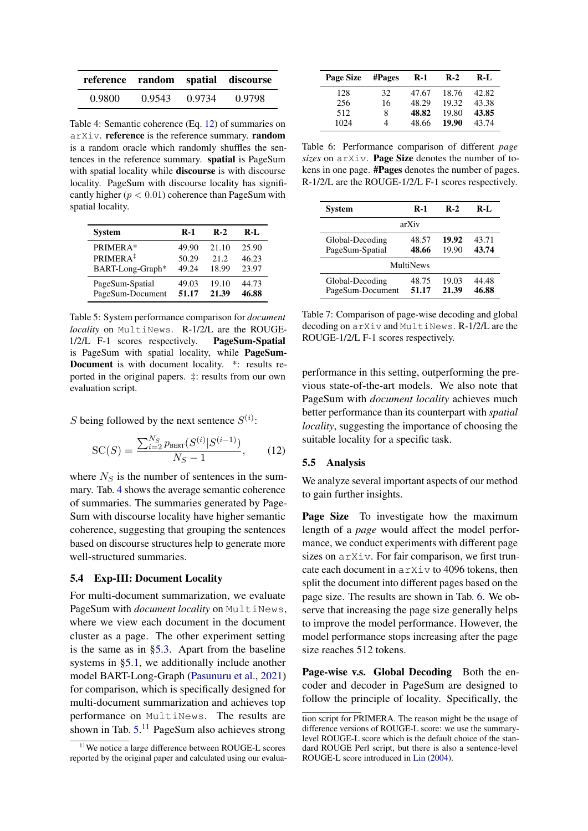<span id="page-6-1"></span>

|        |        |        | reference random spatial discourse |
|--------|--------|--------|------------------------------------|
| 0.9800 | 0.9543 | 0.9734 | 0.9798                             |

Table 4: Semantic coherence (Eq. [12\)](#page-6-0) of summaries on arXiv. reference is the reference summary. random is a random oracle which randomly shuffles the sentences in the reference summary. spatial is PageSum with spatial locality while **discourse** is with discourse locality. PageSum with discourse locality has significantly higher ( $p < 0.01$ ) coherence than PageSum with spatial locality.

<span id="page-6-2"></span>

| System               | $R-1$ | $R-2$ | R-L   |
|----------------------|-------|-------|-------|
| PRIMERA*             | 49.90 | 21.10 | 25.90 |
| $PRIMERA^{\ddagger}$ | 50.29 | 21.2  | 46.23 |
| BART-Long-Graph*     | 49.24 | 18.99 | 23.97 |
| PageSum-Spatial      | 49.03 | 19.10 | 44.73 |
| PageSum-Document     | 51.17 | 21.39 | 46.88 |

Table 5: System performance comparison for *document locality* on MultiNews. R-1/2/L are the ROUGE-1/2/L F-1 scores respectively. PageSum-Spatial is PageSum with spatial locality, while PageSum-Document is with document locality. \*: results reported in the original papers. ‡: results from our own evaluation script.

S being followed by the next sentence  $S^{(i)}$ :

$$
SC(S) = \frac{\sum_{i=2}^{N_S} p_{\text{BERT}}(S^{(i)} | S^{(i-1)})}{N_S - 1},
$$
 (12)

where  $N<sub>S</sub>$  is the number of sentences in the summary. Tab. [4](#page-6-1) shows the average semantic coherence of summaries. The summaries generated by Page-Sum with discourse locality have higher semantic coherence, suggesting that grouping the sentences based on discourse structures help to generate more well-structured summaries.

### 5.4 Exp-III: Document Locality

For multi-document summarization, we evaluate PageSum with *document locality* on MultiNews, where we view each document in the document cluster as a page. The other experiment setting is the same as in [§5.3.](#page-5-3) Apart from the baseline systems in [§5.1,](#page-4-7) we additionally include another model BART-Long-Graph [\(Pasunuru et al.,](#page-10-20) [2021\)](#page-10-20) for comparison, which is specifically designed for multi-document summarization and achieves top performance on MultiNews. The results are shown in Tab. [5.](#page-6-2)<sup>[11](#page-6-3)</sup> PageSum also achieves strong

<span id="page-6-4"></span>

| <b>Page Size</b> | #Pages | <b>R-1</b> | $R-2$ | R-L   |
|------------------|--------|------------|-------|-------|
| 128              | 32     | 47.67      | 18.76 | 42.82 |
| 256              | 16     | 48.29      | 19.32 | 43.38 |
| 512              | 8      | 48.82      | 19.80 | 43.85 |
| 1024             | 4      | 48.66      | 19.90 | 43.74 |

Table 6: Performance comparison of different *page sizes* on arXiv. Page Size denotes the number of tokens in one page. #Pages denotes the number of pages. R-1/2/L are the ROUGE-1/2/L F-1 scores respectively.

<span id="page-6-5"></span>

| <b>System</b>                       | $R-1$          | $R-2$          | R-L            |
|-------------------------------------|----------------|----------------|----------------|
|                                     | arXiv          |                |                |
| Global-Decoding<br>PageSum-Spatial  | 48.57<br>48.66 | 19.92<br>19.90 | 43.71<br>43.74 |
|                                     | MultiNews      |                |                |
|                                     |                |                |                |
| Global-Decoding<br>PageSum-Document | 48.75<br>51.17 | 19.03<br>21.39 | 44.48<br>46.88 |

Table 7: Comparison of page-wise decoding and global decoding on arXiv and MultiNews. R-1/2/L are the ROUGE-1/2/L F-1 scores respectively.

<span id="page-6-0"></span>performance in this setting, outperforming the previous state-of-the-art models. We also note that PageSum with *document locality* achieves much better performance than its counterpart with *spatial locality*, suggesting the importance of choosing the suitable locality for a specific task.

### 5.5 Analysis

We analyze several important aspects of our method to gain further insights.

Page Size To investigate how the maximum length of a *page* would affect the model performance, we conduct experiments with different page sizes on arXiv. For fair comparison, we first truncate each document in arXiv to 4096 tokens, then split the document into different pages based on the page size. The results are shown in Tab. [6.](#page-6-4) We observe that increasing the page size generally helps to improve the model performance. However, the model performance stops increasing after the page size reaches 512 tokens.

Page-wise v.s. Global Decoding Both the encoder and decoder in PageSum are designed to follow the principle of locality. Specifically, the

<span id="page-6-3"></span><sup>&</sup>lt;sup>11</sup>We notice a large difference between ROUGE-L scores reported by the original paper and calculated using our evalua-

tion script for PRIMERA. The reason might be the usage of difference versions of ROUGE-L score: we use the summarylevel ROUGE-L score which is the default choice of the standard ROUGE Perl script, but there is also a sentence-level ROUGE-L score introduced in [Lin](#page-9-15) [\(2004\)](#page-9-15).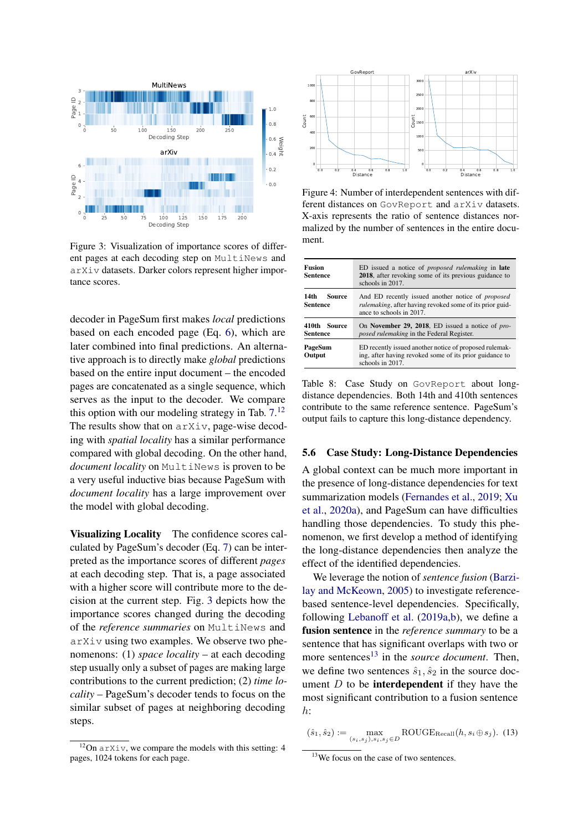<span id="page-7-1"></span>

Figure 3: Visualization of importance scores of different pages at each decoding step on MultiNews and arXiv datasets. Darker colors represent higher importance scores.

decoder in PageSum first makes *local* predictions based on each encoded page (Eq. [6\)](#page-2-4), which are later combined into final predictions. An alternative approach is to directly make *global* predictions based on the entire input document – the encoded pages are concatenated as a single sequence, which serves as the input to the decoder. We compare this option with our modeling strategy in Tab.  $7<sup>12</sup>$  $7<sup>12</sup>$  $7<sup>12</sup>$ The results show that on arXiv, page-wise decoding with *spatial locality* has a similar performance compared with global decoding. On the other hand, *document locality* on MultiNews is proven to be a very useful inductive bias because PageSum with *document locality* has a large improvement over the model with global decoding.

Visualizing Locality The confidence scores calculated by PageSum's decoder (Eq. [7\)](#page-2-1) can be interpreted as the importance scores of different *pages* at each decoding step. That is, a page associated with a higher score will contribute more to the decision at the current step. Fig. [3](#page-7-1) depicts how the importance scores changed during the decoding of the *reference summaries* on MultiNews and arXiv using two examples. We observe two phenomenons: (1) *space locality* – at each decoding step usually only a subset of pages are making large contributions to the current prediction; (2) *time locality* – PageSum's decoder tends to focus on the similar subset of pages at neighboring decoding steps.

<span id="page-7-4"></span>

Figure 4: Number of interdependent sentences with different distances on GovReport and arXiv datasets. X-axis represents the ratio of sentence distances normalized by the number of sentences in the entire document.

<span id="page-7-3"></span>

| <b>Fusion</b><br><b>Sentence</b> | ED issued a notice of <i>proposed rulemaking</i> in <b>late</b><br>2018, after revoking some of its previous guidance to<br>schools in 2017. |
|----------------------------------|----------------------------------------------------------------------------------------------------------------------------------------------|
| 14th                             | And ED recently issued another notice of <i>proposed</i>                                                                                     |
| <b>Source</b>                    | <i>rulemaking</i> , after having revoked some of its prior guid-                                                                             |
| <b>Sentence</b>                  | ance to schools in 2017.                                                                                                                     |
| 410th Source                     | On November 29, 2018, ED issued a notice of pro-                                                                                             |
| <b>Sentence</b>                  | <i>posed rulemaking</i> in the Federal Register.                                                                                             |
| PageSum<br>Output                | ED recently issued another notice of proposed rulemak-<br>ing, after having revoked some of its prior guidance to<br>schools in $2017$ .     |

Table 8: Case Study on GovReport about longdistance dependencies. Both 14th and 410th sentences contribute to the same reference sentence. PageSum's output fails to capture this long-distance dependency.

#### 5.6 Case Study: Long-Distance Dependencies

A global context can be much more important in the presence of long-distance dependencies for text summarization models [\(Fernandes et al.,](#page-9-16) [2019;](#page-9-16) [Xu](#page-11-5) [et al.,](#page-11-5) [2020a\)](#page-11-5), and PageSum can have difficulties handling those dependencies. To study this phenomenon, we first develop a method of identifying the long-distance dependencies then analyze the effect of the identified dependencies.

We leverage the notion of *sentence fusion* [\(Barzi](#page-8-10)[lay and McKeown,](#page-8-10) [2005\)](#page-8-10) to investigate referencebased sentence-level dependencies. Specifically, following [Lebanoff et al.](#page-9-17) [\(2019a,](#page-9-17)[b\)](#page-9-18), we define a fusion sentence in the *reference summary* to be a sentence that has significant overlaps with two or more sentences<sup>[13](#page-7-2)</sup> in the *source document*. Then, we define two sentences  $\hat{s}_1, \hat{s}_2$  in the source document  $D$  to be **interdependent** if they have the most significant contribution to a fusion sentence  $h$ :

<span id="page-7-0"></span> $12$ On arXiv, we compare the models with this setting: 4 pages, 1024 tokens for each page.

 $(\hat{s}_1, \hat{s}_2) := \max_{(s_i, s_j), s_i, s_j \in D} \text{ROUGE}_{\text{Recall}}(h, s_i \oplus s_j).$  (13)

<span id="page-7-2"></span><sup>&</sup>lt;sup>13</sup>We focus on the case of two sentences.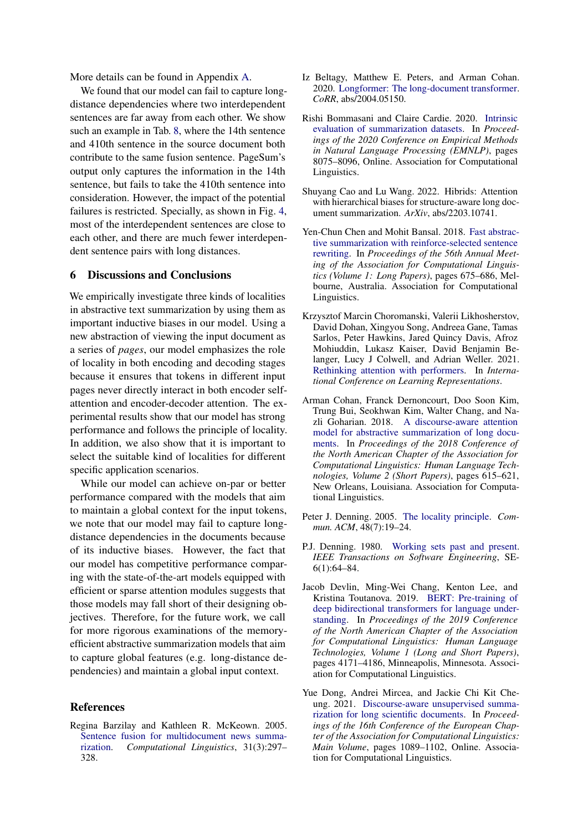More details can be found in Appendix [A.](#page-11-12)

We found that our model can fail to capture longdistance dependencies where two interdependent sentences are far away from each other. We show such an example in Tab. [8,](#page-7-3) where the 14th sentence and 410th sentence in the source document both contribute to the same fusion sentence. PageSum's output only captures the information in the 14th sentence, but fails to take the 410th sentence into consideration. However, the impact of the potential failures is restricted. Specially, as shown in Fig. [4,](#page-7-4) most of the interdependent sentences are close to each other, and there are much fewer interdependent sentence pairs with long distances.

# 6 Discussions and Conclusions

We empirically investigate three kinds of localities in abstractive text summarization by using them as important inductive biases in our model. Using a new abstraction of viewing the input document as a series of *pages*, our model emphasizes the role of locality in both encoding and decoding stages because it ensures that tokens in different input pages never directly interact in both encoder selfattention and encoder-decoder attention. The experimental results show that our model has strong performance and follows the principle of locality. In addition, we also show that it is important to select the suitable kind of localities for different specific application scenarios.

While our model can achieve on-par or better performance compared with the models that aim to maintain a global context for the input tokens, we note that our model may fail to capture longdistance dependencies in the documents because of its inductive biases. However, the fact that our model has competitive performance comparing with the state-of-the-art models equipped with efficient or sparse attention modules suggests that those models may fall short of their designing objectives. Therefore, for the future work, we call for more rigorous examinations of the memoryefficient abstractive summarization models that aim to capture global features (e.g. long-distance dependencies) and maintain a global input context.

## References

<span id="page-8-10"></span>Regina Barzilay and Kathleen R. McKeown. 2005. [Sentence fusion for multidocument news summa](https://doi.org/10.1162/089120105774321091)[rization.](https://doi.org/10.1162/089120105774321091) *Computational Linguistics*, 31(3):297– 328.

- <span id="page-8-0"></span>Iz Beltagy, Matthew E. Peters, and Arman Cohan. 2020. [Longformer: The long-document transformer.](http://arxiv.org/abs/2004.05150) *CoRR*, abs/2004.05150.
- <span id="page-8-8"></span>Rishi Bommasani and Claire Cardie. 2020. [Intrinsic](https://doi.org/10.18653/v1/2020.emnlp-main.649) [evaluation of summarization datasets.](https://doi.org/10.18653/v1/2020.emnlp-main.649) In *Proceedings of the 2020 Conference on Empirical Methods in Natural Language Processing (EMNLP)*, pages 8075–8096, Online. Association for Computational Linguistics.
- <span id="page-8-6"></span>Shuyang Cao and Lu Wang. 2022. Hibrids: Attention with hierarchical biases for structure-aware long document summarization. *ArXiv*, abs/2203.10741.
- <span id="page-8-7"></span>Yen-Chun Chen and Mohit Bansal. 2018. [Fast abstrac](https://doi.org/10.18653/v1/P18-1063)[tive summarization with reinforce-selected sentence](https://doi.org/10.18653/v1/P18-1063) [rewriting.](https://doi.org/10.18653/v1/P18-1063) In *Proceedings of the 56th Annual Meeting of the Association for Computational Linguistics (Volume 1: Long Papers)*, pages 675–686, Melbourne, Australia. Association for Computational Linguistics.
- <span id="page-8-4"></span>Krzysztof Marcin Choromanski, Valerii Likhosherstov, David Dohan, Xingyou Song, Andreea Gane, Tamas Sarlos, Peter Hawkins, Jared Quincy Davis, Afroz Mohiuddin, Lukasz Kaiser, David Benjamin Belanger, Lucy J Colwell, and Adrian Weller. 2021. [Rethinking attention with performers.](https://openreview.net/forum?id=Ua6zuk0WRH) In *International Conference on Learning Representations*.
- <span id="page-8-1"></span>Arman Cohan, Franck Dernoncourt, Doo Soon Kim, Trung Bui, Seokhwan Kim, Walter Chang, and Nazli Goharian. 2018. [A discourse-aware attention](https://doi.org/10.18653/v1/N18-2097) [model for abstractive summarization of long docu](https://doi.org/10.18653/v1/N18-2097)[ments.](https://doi.org/10.18653/v1/N18-2097) In *Proceedings of the 2018 Conference of the North American Chapter of the Association for Computational Linguistics: Human Language Technologies, Volume 2 (Short Papers)*, pages 615–621, New Orleans, Louisiana. Association for Computational Linguistics.
- <span id="page-8-2"></span>Peter J. Denning. 2005. [The locality principle.](https://doi.org/10.1145/1070838.1070856) *Commun. ACM*, 48(7):19–24.
- <span id="page-8-3"></span>P.J. Denning. 1980. [Working sets past and present.](https://doi.org/10.1109/TSE.1980.230464) *IEEE Transactions on Software Engineering*, SE-6(1):64–84.
- <span id="page-8-9"></span>Jacob Devlin, Ming-Wei Chang, Kenton Lee, and Kristina Toutanova. 2019. [BERT: Pre-training of](https://doi.org/10.18653/v1/N19-1423) [deep bidirectional transformers for language under](https://doi.org/10.18653/v1/N19-1423)[standing.](https://doi.org/10.18653/v1/N19-1423) In *Proceedings of the 2019 Conference of the North American Chapter of the Association for Computational Linguistics: Human Language Technologies, Volume 1 (Long and Short Papers)*, pages 4171–4186, Minneapolis, Minnesota. Association for Computational Linguistics.
- <span id="page-8-5"></span>Yue Dong, Andrei Mircea, and Jackie Chi Kit Cheung. 2021. [Discourse-aware unsupervised summa](https://doi.org/10.18653/v1/2021.eacl-main.93)[rization for long scientific documents.](https://doi.org/10.18653/v1/2021.eacl-main.93) In *Proceedings of the 16th Conference of the European Chapter of the Association for Computational Linguistics: Main Volume*, pages 1089–1102, Online. Association for Computational Linguistics.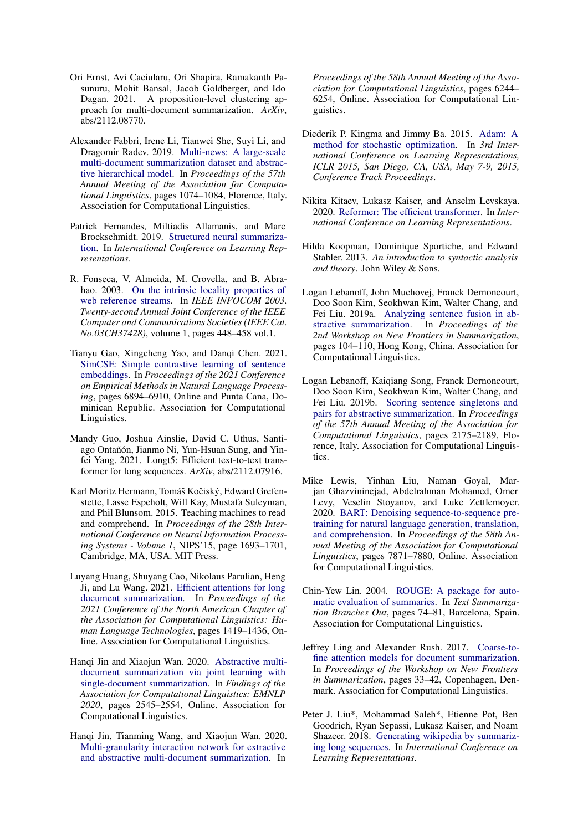- <span id="page-9-12"></span>Ori Ernst, Avi Caciularu, Ori Shapira, Ramakanth Pasunuru, Mohit Bansal, Jacob Goldberger, and Ido Dagan. 2021. A proposition-level clustering approach for multi-document summarization. *ArXiv*, abs/2112.08770.
- <span id="page-9-10"></span>Alexander Fabbri, Irene Li, Tianwei She, Suyi Li, and Dragomir Radev. 2019. [Multi-news: A large-scale](https://doi.org/10.18653/v1/P19-1102) [multi-document summarization dataset and abstrac](https://doi.org/10.18653/v1/P19-1102)[tive hierarchical model.](https://doi.org/10.18653/v1/P19-1102) In *Proceedings of the 57th Annual Meeting of the Association for Computational Linguistics*, pages 1074–1084, Florence, Italy. Association for Computational Linguistics.
- <span id="page-9-16"></span>Patrick Fernandes, Miltiadis Allamanis, and Marc Brockschmidt. 2019. [Structured neural summariza](https://openreview.net/forum?id=H1ersoRqtm)[tion.](https://openreview.net/forum?id=H1ersoRqtm) In *International Conference on Learning Representations*.
- <span id="page-9-3"></span>R. Fonseca, V. Almeida, M. Crovella, and B. Abrahao. 2003. [On the intrinsic locality properties of](https://doi.org/10.1109/INFCOM.2003.1208696) [web reference streams.](https://doi.org/10.1109/INFCOM.2003.1208696) In *IEEE INFOCOM 2003. Twenty-second Annual Joint Conference of the IEEE Computer and Communications Societies (IEEE Cat. No.03CH37428)*, volume 1, pages 448–458 vol.1.
- <span id="page-9-1"></span>Tianyu Gao, Xingcheng Yao, and Danqi Chen. 2021. [SimCSE: Simple contrastive learning of sentence](https://doi.org/10.18653/v1/2021.emnlp-main.552) [embeddings.](https://doi.org/10.18653/v1/2021.emnlp-main.552) In *Proceedings of the 2021 Conference on Empirical Methods in Natural Language Processing*, pages 6894–6910, Online and Punta Cana, Dominican Republic. Association for Computational Linguistics.
- <span id="page-9-7"></span>Mandy Guo, Joshua Ainslie, David C. Uthus, Santiago Ontañón, Jianmo Ni, Yun-Hsuan Sung, and Yinfei Yang. 2021. Longt5: Efficient text-to-text transformer for long sequences. *ArXiv*, abs/2112.07916.
- <span id="page-9-13"></span>Karl Moritz Hermann, Tomáš Kočiský, Edward Grefenstette, Lasse Espeholt, Will Kay, Mustafa Suleyman, and Phil Blunsom. 2015. Teaching machines to read and comprehend. In *Proceedings of the 28th International Conference on Neural Information Processing Systems - Volume 1*, NIPS'15, page 1693–1701, Cambridge, MA, USA. MIT Press.
- <span id="page-9-8"></span>Luyang Huang, Shuyang Cao, Nikolaus Parulian, Heng Ji, and Lu Wang. 2021. [Efficient attentions for long](https://doi.org/10.18653/v1/2021.naacl-main.112) [document summarization.](https://doi.org/10.18653/v1/2021.naacl-main.112) In *Proceedings of the 2021 Conference of the North American Chapter of the Association for Computational Linguistics: Human Language Technologies*, pages 1419–1436, Online. Association for Computational Linguistics.
- <span id="page-9-4"></span>Hanqi Jin and Xiaojun Wan. 2020. [Abstractive multi](https://doi.org/10.18653/v1/2020.findings-emnlp.231)[document summarization via joint learning with](https://doi.org/10.18653/v1/2020.findings-emnlp.231) [single-document summarization.](https://doi.org/10.18653/v1/2020.findings-emnlp.231) In *Findings of the Association for Computational Linguistics: EMNLP 2020*, pages 2545–2554, Online. Association for Computational Linguistics.
- <span id="page-9-11"></span>Hanqi Jin, Tianming Wang, and Xiaojun Wan. 2020. [Multi-granularity interaction network for extractive](https://doi.org/10.18653/v1/2020.acl-main.556) [and abstractive multi-document summarization.](https://doi.org/10.18653/v1/2020.acl-main.556) In

*Proceedings of the 58th Annual Meeting of the Association for Computational Linguistics*, pages 6244– 6254, Online. Association for Computational Linguistics.

- <span id="page-9-14"></span>Diederik P. Kingma and Jimmy Ba. 2015. [Adam: A](http://arxiv.org/abs/1412.6980) [method for stochastic optimization.](http://arxiv.org/abs/1412.6980) In *3rd International Conference on Learning Representations, ICLR 2015, San Diego, CA, USA, May 7-9, 2015, Conference Track Proceedings*.
- <span id="page-9-0"></span>Nikita Kitaev, Lukasz Kaiser, and Anselm Levskaya. 2020. [Reformer: The efficient transformer.](https://openreview.net/forum?id=rkgNKkHtvB) In *International Conference on Learning Representations*.
- <span id="page-9-2"></span>Hilda Koopman, Dominique Sportiche, and Edward Stabler. 2013. *An introduction to syntactic analysis and theory*. John Wiley & Sons.
- <span id="page-9-17"></span>Logan Lebanoff, John Muchovej, Franck Dernoncourt, Doo Soon Kim, Seokhwan Kim, Walter Chang, and Fei Liu. 2019a. [Analyzing sentence fusion in ab](https://doi.org/10.18653/v1/D19-5413)[stractive summarization.](https://doi.org/10.18653/v1/D19-5413) In *Proceedings of the 2nd Workshop on New Frontiers in Summarization*, pages 104–110, Hong Kong, China. Association for Computational Linguistics.
- <span id="page-9-18"></span>Logan Lebanoff, Kaiqiang Song, Franck Dernoncourt, Doo Soon Kim, Seokhwan Kim, Walter Chang, and Fei Liu. 2019b. [Scoring sentence singletons and](https://doi.org/10.18653/v1/P19-1209) [pairs for abstractive summarization.](https://doi.org/10.18653/v1/P19-1209) In *Proceedings of the 57th Annual Meeting of the Association for Computational Linguistics*, pages 2175–2189, Florence, Italy. Association for Computational Linguistics.
- <span id="page-9-5"></span>Mike Lewis, Yinhan Liu, Naman Goyal, Marjan Ghazvininejad, Abdelrahman Mohamed, Omer Levy, Veselin Stoyanov, and Luke Zettlemoyer. 2020. [BART: Denoising sequence-to-sequence pre](https://doi.org/10.18653/v1/2020.acl-main.703)[training for natural language generation, translation,](https://doi.org/10.18653/v1/2020.acl-main.703) [and comprehension.](https://doi.org/10.18653/v1/2020.acl-main.703) In *Proceedings of the 58th Annual Meeting of the Association for Computational Linguistics*, pages 7871–7880, Online. Association for Computational Linguistics.
- <span id="page-9-15"></span>Chin-Yew Lin. 2004. [ROUGE: A package for auto](https://aclanthology.org/W04-1013)[matic evaluation of summaries.](https://aclanthology.org/W04-1013) In *Text Summarization Branches Out*, pages 74–81, Barcelona, Spain. Association for Computational Linguistics.
- <span id="page-9-9"></span>Jeffrey Ling and Alexander Rush. 2017. [Coarse-to](https://doi.org/10.18653/v1/W17-4505)[fine attention models for document summarization.](https://doi.org/10.18653/v1/W17-4505) In *Proceedings of the Workshop on New Frontiers in Summarization*, pages 33–42, Copenhagen, Denmark. Association for Computational Linguistics.
- <span id="page-9-6"></span>Peter J. Liu\*, Mohammad Saleh\*, Etienne Pot, Ben Goodrich, Ryan Sepassi, Lukasz Kaiser, and Noam Shazeer. 2018. [Generating wikipedia by summariz](https://openreview.net/forum?id=Hyg0vbWC-)[ing long sequences.](https://openreview.net/forum?id=Hyg0vbWC-) In *International Conference on Learning Representations*.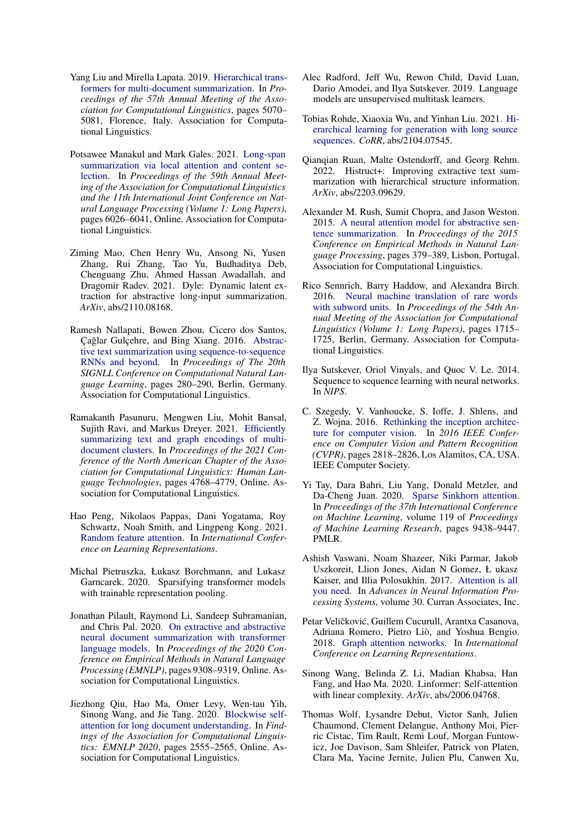- <span id="page-10-15"></span>Yang Liu and Mirella Lapata. 2019. [Hierarchical trans](https://doi.org/10.18653/v1/P19-1500)[formers for multi-document summarization.](https://doi.org/10.18653/v1/P19-1500) In *Proceedings of the 57th Annual Meeting of the Association for Computational Linguistics*, pages 5070– 5081, Florence, Italy. Association for Computational Linguistics.
- <span id="page-10-8"></span>Potsawee Manakul and Mark Gales. 2021. [Long-span](https://doi.org/10.18653/v1/2021.acl-long.470) [summarization via local attention and content se](https://doi.org/10.18653/v1/2021.acl-long.470)[lection.](https://doi.org/10.18653/v1/2021.acl-long.470) In *Proceedings of the 59th Annual Meeting of the Association for Computational Linguistics and the 11th International Joint Conference on Natural Language Processing (Volume 1: Long Papers)*, pages 6026–6041, Online. Association for Computational Linguistics.
- <span id="page-10-18"></span>Ziming Mao, Chen Henry Wu, Ansong Ni, Yusen Zhang, Rui Zhang, Tao Yu, Budhaditya Deb, Chenguang Zhu, Ahmed Hassan Awadallah, and Dragomir Radev. 2021. Dyle: Dynamic latent extraction for abstractive long-input summarization. *ArXiv*, abs/2110.08168.
- <span id="page-10-1"></span>Ramesh Nallapati, Bowen Zhou, Cicero dos Santos, Cağlar Gulçehre, and Bing Xiang. 2016. [Abstrac](https://doi.org/10.18653/v1/K16-1028)[tive text summarization using sequence-to-sequence](https://doi.org/10.18653/v1/K16-1028) [RNNs and beyond.](https://doi.org/10.18653/v1/K16-1028) In *Proceedings of The 20th SIGNLL Conference on Computational Natural Language Learning*, pages 280–290, Berlin, Germany. Association for Computational Linguistics.
- <span id="page-10-20"></span>Ramakanth Pasunuru, Mengwen Liu, Mohit Bansal, Sujith Ravi, and Markus Dreyer. 2021. [Efficiently](https://doi.org/10.18653/v1/2021.naacl-main.380) [summarizing text and graph encodings of multi](https://doi.org/10.18653/v1/2021.naacl-main.380)[document clusters.](https://doi.org/10.18653/v1/2021.naacl-main.380) In *Proceedings of the 2021 Conference of the North American Chapter of the Association for Computational Linguistics: Human Language Technologies*, pages 4768–4779, Online. Association for Computational Linguistics.
- <span id="page-10-7"></span>Hao Peng, Nikolaos Pappas, Dani Yogatama, Roy Schwartz, Noah Smith, and Lingpeng Kong. 2021. [Random feature attention.](https://openreview.net/forum?id=QtTKTdVrFBB) In *International Conference on Learning Representations*.
- <span id="page-10-10"></span>Michal Pietruszka, Łukasz Borchmann, and Lukasz Garncarek. 2020. Sparsifying transformer models with trainable representation pooling.
- <span id="page-10-16"></span>Jonathan Pilault, Raymond Li, Sandeep Subramanian, and Chris Pal. 2020. [On extractive and abstractive](https://doi.org/10.18653/v1/2020.emnlp-main.748) [neural document summarization with transformer](https://doi.org/10.18653/v1/2020.emnlp-main.748) [language models.](https://doi.org/10.18653/v1/2020.emnlp-main.748) In *Proceedings of the 2020 Conference on Empirical Methods in Natural Language Processing (EMNLP)*, pages 9308–9319, Online. Association for Computational Linguistics.
- <span id="page-10-12"></span>Jiezhong Qiu, Hao Ma, Omer Levy, Wen-tau Yih, Sinong Wang, and Jie Tang. 2020. [Blockwise self](https://doi.org/10.18653/v1/2020.findings-emnlp.232)[attention for long document understanding.](https://doi.org/10.18653/v1/2020.findings-emnlp.232) In *Findings of the Association for Computational Linguistics: EMNLP 2020*, pages 2555–2565, Online. Association for Computational Linguistics.
- <span id="page-10-4"></span>Alec Radford, Jeff Wu, Rewon Child, David Luan, Dario Amodei, and Ilya Sutskever. 2019. Language models are unsupervised multitask learners.
- <span id="page-10-13"></span>Tobias Rohde, Xiaoxia Wu, and Yinhan Liu. 2021. [Hi](http://arxiv.org/abs/2104.07545)[erarchical learning for generation with long source](http://arxiv.org/abs/2104.07545) [sequences.](http://arxiv.org/abs/2104.07545) *CoRR*, abs/2104.07545.
- <span id="page-10-14"></span>Qianqian Ruan, Malte Ostendorff, and Georg Rehm. 2022. Histruct+: Improving extractive text summarization with hierarchical structure information. *ArXiv*, abs/2203.09629.
- <span id="page-10-0"></span>Alexander M. Rush, Sumit Chopra, and Jason Weston. 2015. [A neural attention model for abstractive sen](https://doi.org/10.18653/v1/D15-1044)[tence summarization.](https://doi.org/10.18653/v1/D15-1044) In *Proceedings of the 2015 Conference on Empirical Methods in Natural Language Processing*, pages 379–389, Lisbon, Portugal. Association for Computational Linguistics.
- <span id="page-10-17"></span>Rico Sennrich, Barry Haddow, and Alexandra Birch. 2016. [Neural machine translation of rare words](https://doi.org/10.18653/v1/P16-1162) [with subword units.](https://doi.org/10.18653/v1/P16-1162) In *Proceedings of the 54th Annual Meeting of the Association for Computational Linguistics (Volume 1: Long Papers)*, pages 1715– 1725, Berlin, Germany. Association for Computational Linguistics.
- <span id="page-10-2"></span>Ilya Sutskever, Oriol Vinyals, and Quoc V. Le. 2014. Sequence to sequence learning with neural networks. In *NIPS*.
- <span id="page-10-5"></span>C. Szegedy, V. Vanhoucke, S. Ioffe, J. Shlens, and Z. Wojna. 2016. [Rethinking the inception architec](https://doi.org/10.1109/CVPR.2016.308)[ture for computer vision.](https://doi.org/10.1109/CVPR.2016.308) In *2016 IEEE Conference on Computer Vision and Pattern Recognition (CVPR)*, pages 2818–2826, Los Alamitos, CA, USA. IEEE Computer Society.
- <span id="page-10-11"></span>Yi Tay, Dara Bahri, Liu Yang, Donald Metzler, and Da-Cheng Juan. 2020. [Sparse Sinkhorn attention.](https://proceedings.mlr.press/v119/tay20a.html) In *Proceedings of the 37th International Conference on Machine Learning*, volume 119 of *Proceedings of Machine Learning Research*, pages 9438–9447. PMLR.
- <span id="page-10-3"></span>Ashish Vaswani, Noam Shazeer, Niki Parmar, Jakob Uszkoreit, Llion Jones, Aidan N Gomez, Ł ukasz Kaiser, and Illia Polosukhin. 2017. [Attention is all](https://proceedings.neurips.cc/paper/2017/file/3f5ee243547dee91fbd053c1c4a845aa-Paper.pdf) [you need.](https://proceedings.neurips.cc/paper/2017/file/3f5ee243547dee91fbd053c1c4a845aa-Paper.pdf) In *Advances in Neural Information Processing Systems*, volume 30. Curran Associates, Inc.
- <span id="page-10-9"></span>Petar Veličković, Guillem Cucurull, Arantxa Casanova, Adriana Romero, Pietro Liò, and Yoshua Bengio. 2018. [Graph attention networks.](https://openreview.net/forum?id=rJXMpikCZ) In *International Conference on Learning Representations*.
- <span id="page-10-6"></span>Sinong Wang, Belinda Z. Li, Madian Khabsa, Han Fang, and Hao Ma. 2020. Linformer: Self-attention with linear complexity. *ArXiv*, abs/2006.04768.
- <span id="page-10-19"></span>Thomas Wolf, Lysandre Debut, Victor Sanh, Julien Chaumond, Clement Delangue, Anthony Moi, Pierric Cistac, Tim Rault, Remi Louf, Morgan Funtowicz, Joe Davison, Sam Shleifer, Patrick von Platen, Clara Ma, Yacine Jernite, Julien Plu, Canwen Xu,